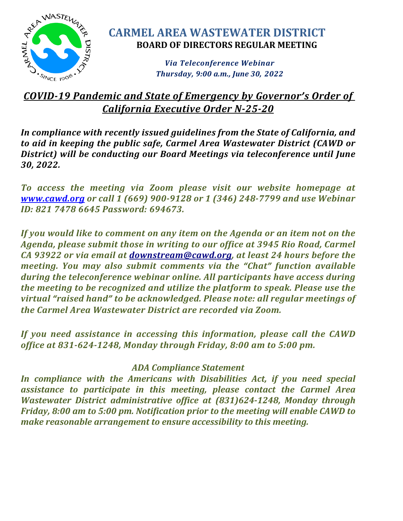

# **CARMEL AREA WASTEWATER DISTRICT BOARD OF DIRECTORS REGULAR MEETING**

*Via Teleconference Webinar Thursday, 9:00 a.m., June 30, 2022*

# *COVID-19 Pandemic and State of Emergency by Governor's Order of California Executive Order N-25-20*

*In compliance with recently issued guidelines from the State of California, and to aid in keeping the public safe, Carmel Area Wastewater District (CAWD or District) will be conducting our Board Meetings via teleconference until June 30, 2022.*

*To access the meeting via Zoom please visit our website homepage at [www.cawd.org](https://www.cawd.org/2022-06-30-board-of-directors-meeting) or call 1 (669) 900-9128 or 1 (346) 248-7799 and use Webinar ID: 821 7478 6645 Password: 694673.*

*If you would like to comment on any item on the Agenda or an item not on the Agenda, please submit those in writing to our office at 3945 Rio Road, Carmel CA 93922 or via email at [downstream@cawd.org,](mailto:downstream@cawd.org) at least 24 hours before the meeting. You may also submit comments via the "Chat" function available during the teleconference webinar online. All participants have access during the meeting to be recognized and utilize the platform to speak. Please use the virtual "raised hand" to be acknowledged. Please note: all regular meetings of the Carmel Area Wastewater District are recorded via Zoom.*

*If you need assistance in accessing this information, please call the CAWD office at 831-624-1248, Monday through Friday, 8:00 am to 5:00 pm.* 

# *ADA Compliance Statement*

*In compliance with the Americans with Disabilities Act, if you need special assistance to participate in this meeting, please contact the Carmel Area Wastewater District administrative office at (831)624-1248, Monday through Friday, 8:00 am to 5:00 pm. Notification prior to the meeting will enable CAWD to make reasonable arrangement to ensure accessibility to this meeting.*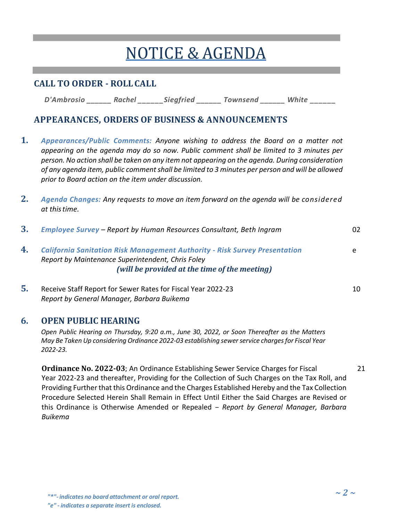# NOTICE &AGENDA

## **CALL TO ORDER - ROLLCALL**

*D'Ambrosio \_\_\_\_\_\_ Rachel \_\_\_\_\_\_Siegfried \_\_\_\_\_\_ Townsend \_\_\_\_\_\_ White \_\_\_\_\_\_* 

### **APPEARANCES, ORDERS OF BUSINESS & ANNOUNCEMENTS**

- **1.** *Appearances/Public Comments: Anyone wishing to address the Board on a matter not appearing on the agenda may do so now. Public comment shall be limited to 3 minutes per person. No action shall be taken on any item not appearing on the agenda. During consideration of any agenda item, public comment shall be limited to 3 minutes per person and will be allowed prior to Board action on the item under discussion.*
- **2.** *Agenda Changes: Any requests to move an item forward on the agenda will be considered at thistime.*

| 3. | Employee Survey - Report by Human Resources Consultant, Beth Ingram                                                                    | 02 |
|----|----------------------------------------------------------------------------------------------------------------------------------------|----|
| 4. | <b>California Sanitation Risk Management Authority - Risk Survey Presentation</b><br>Report by Maintenance Superintendent, Chris Foley |    |
|    | (will be provided at the time of the meeting)                                                                                          |    |
|    |                                                                                                                                        |    |

**5.** Receive Staff Report for Sewer Rates for Fiscal Year 2022-23 10 *Report by General Manager, Barbara Buikema*

#### **6. OPEN PUBLIC HEARING**

*Open Public Hearing on Thursday, 9:20 a.m., June 30, 2022, or Soon Thereafter as the Matters May Be Taken Up considering Ordinance 2022-03 establishing sewer service charges for Fiscal Year 2022-23.*

**Ordinance No. 2022-03**; An Ordinance Establishing Sewer Service Charges for Fiscal 21 Year 2022-23 and thereafter, Providing for the Collection of Such Charges on the Tax Roll, and Providing Further that this Ordinance and the Charges Established Hereby and the Tax Collection Procedure Selected Herein Shall Remain in Effect Until Either the Said Charges are Revised or this Ordinance is Otherwise Amended or Repealed – *Report by General Manager, Barbara Buikema*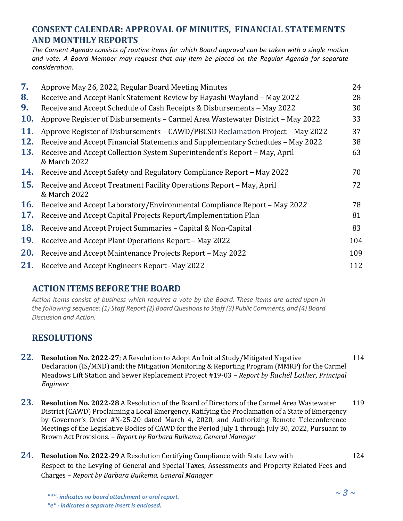## **CONSENT CALENDAR: APPROVAL OF MINUTES, FINANCIAL STATEMENTS AND MONTHLYREPORTS**

*The Consent Agenda consists of routine items for which Board approval can be taken with a single motion and vote. A Board Member may request that any item be placed on the Regular Agenda for separate consideration.*

| 7.         | Approve May 26, 2022, Regular Board Meeting Minutes                                       | 24  |
|------------|-------------------------------------------------------------------------------------------|-----|
| 8.         | Receive and Accept Bank Statement Review by Hayashi Wayland - May 2022                    | 28  |
| 9.         | Receive and Accept Schedule of Cash Receipts & Disbursements - May 2022                   | 30  |
| <b>10.</b> | Approve Register of Disbursements - Carmel Area Wastewater District - May 2022            | 33  |
| 11.        | Approve Register of Disbursements – CAWD/PBCSD Reclamation Project – May 2022             | 37  |
| <b>12.</b> | Receive and Accept Financial Statements and Supplementary Schedules - May 2022            | 38  |
| 13.        | Receive and Accept Collection System Superintendent's Report - May, April<br>& March 2022 | 63  |
| 14.        | Receive and Accept Safety and Regulatory Compliance Report – May 2022                     | 70  |
| <b>15.</b> | Receive and Accept Treatment Facility Operations Report - May, April<br>& March 2022      | 72  |
| <b>16.</b> | Receive and Accept Laboratory/Environmental Compliance Report - May 2022                  | 78  |
| 17.        | Receive and Accept Capital Projects Report/Implementation Plan                            | 81  |
| <b>18.</b> | Receive and Accept Project Summaries - Capital & Non-Capital                              | 83  |
| <b>19.</b> | Receive and Accept Plant Operations Report - May 2022                                     | 104 |
| 20.        | Receive and Accept Maintenance Projects Report - May 2022                                 | 109 |
| 21.        | Receive and Accept Engineers Report - May 2022                                            | 112 |

#### **ACTIONITEMSBEFORE THE BOARD**

*Action Items consist of business which requires a vote by the Board. These items are acted upon in the following sequence: (1) Staff Report (2) Board Questions to Staff (3) Public Comments, and (4) Board Discussion and Action.*

## **RESOLUTIONS**

- **22. Resolution No. 2022-27;** A Resolution to Adopt An Initial Study/Mitigated Negative 114 Declaration (IS/MND) and; the Mitigation Monitoring & Reporting Program (MMRP) for the Carmel Meadows Lift Station and Sewer Replacement Project #19-03 *– Report by Rachél Lather, Principal Engineer*
- **23. Resolution No. 2022-28** A Resolution of the Board of Directors of the Carmel Area Wastewater <sup>119</sup> District (CAWD) Proclaiming a Local Emergency, Ratifying the Proclamation of a State of Emergency by Governor's Order #N-25-20 dated March 4, 2020, and Authorizing Remote Teleconference Meetings of the Legislative Bodies of CAWD for the Period July 1 through July 30, 2022, Pursuant to Brown Act Provisions. – *Report by Barbara Buikema, General Manager*
- **24. Resolution No. 2022-29** A Resolution Certifying Compliance with State Law with <sup>124</sup> Respect to the Levying of General and Special Taxes, Assessments and Property Related Fees and Charges – *Report by Barbara Buikema, General Manager*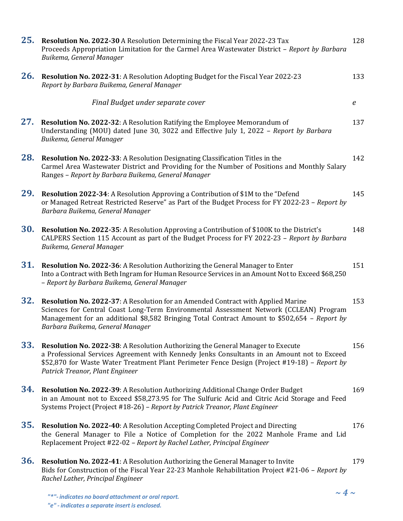| 25.        | Resolution No. 2022-30 A Resolution Determining the Fiscal Year 2022-23 Tax<br>Proceeds Appropriation Limitation for the Carmel Area Wastewater District - Report by Barbara<br>Buikema, General Manager                                                                                                          | 128              |
|------------|-------------------------------------------------------------------------------------------------------------------------------------------------------------------------------------------------------------------------------------------------------------------------------------------------------------------|------------------|
| 26.        | Resolution No. 2022-31: A Resolution Adopting Budget for the Fiscal Year 2022-23<br>Report by Barbara Buikema, General Manager                                                                                                                                                                                    | 133              |
|            | Final Budget under separate cover                                                                                                                                                                                                                                                                                 | $\boldsymbol{e}$ |
| 27.        | Resolution No. 2022-32: A Resolution Ratifying the Employee Memorandum of<br>Understanding (MOU) dated June 30, 3022 and Effective July 1, 2022 - Report by Barbara<br>Buikema, General Manager                                                                                                                   | 137              |
| 28.        | <b>Resolution No. 2022-33: A Resolution Designating Classification Titles in the</b><br>Carmel Area Wastewater District and Providing for the Number of Positions and Monthly Salary<br>Ranges - Report by Barbara Buikema, General Manager                                                                       | 142              |
| 29.        | <b>Resolution 2022-34:</b> A Resolution Approving a Contribution of \$1M to the "Defend"<br>or Managed Retreat Restricted Reserve" as Part of the Budget Process for FY 2022-23 - Report by<br>Barbara Buikema, General Manager                                                                                   | 145              |
| <b>30.</b> | Resolution No. 2022-35: A Resolution Approving a Contribution of \$100K to the District's<br>CALPERS Section 115 Account as part of the Budget Process for FY 2022-23 - Report by Barbara<br>Buikema, General Manager                                                                                             | 148              |
| 31.        | Resolution No. 2022-36: A Resolution Authorizing the General Manager to Enter<br>Into a Contract with Beth Ingram for Human Resource Services in an Amount Not to Exceed \$68,250<br>- Report by Barbara Buikema, General Manager                                                                                 | 151              |
| 32.        | Resolution No. 2022-37: A Resolution for an Amended Contract with Applied Marine<br>Sciences for Central Coast Long-Term Environmental Assessment Network (CCLEAN) Program<br>Management for an additional \$8,582 Bringing Total Contract Amount to \$502,654 - Report by<br>Barbara Buikema, General Manager    | 153              |
| 33.        | Resolution No. 2022-38: A Resolution Authorizing the General Manager to Execute<br>a Professional Services Agreement with Kennedy Jenks Consultants in an Amount not to Exceed<br>\$52,870 for Waste Water Treatment Plant Perimeter Fence Design (Project #19-18) – Report by<br>Patrick Treanor, Plant Engineer | 156              |
| 34.        | Resolution No. 2022-39: A Resolution Authorizing Additional Change Order Budget<br>in an Amount not to Exceed \$58,273.95 for The Sulfuric Acid and Citric Acid Storage and Feed<br>Systems Project (Project #18-26) - Report by Patrick Treanor, Plant Engineer                                                  | 169              |
| 35.        | <b>Resolution No. 2022-40:</b> A Resolution Accepting Completed Project and Directing<br>the General Manager to File a Notice of Completion for the 2022 Manhole Frame and Lid<br>Replacement Project #22-02 - Report by Rachel Lather, Principal Engineer                                                        | 176              |
| <b>36.</b> | <b>Resolution No. 2022-41:</b> A Resolution Authorizing the General Manager to Invite<br>Bids for Construction of the Fiscal Year 22-23 Manhole Rehabilitation Project #21-06 - Report by<br>Rachel Lather, Principal Engineer                                                                                    | 179              |
|            | $\sim 4 \sim$                                                                                                                                                                                                                                                                                                     |                  |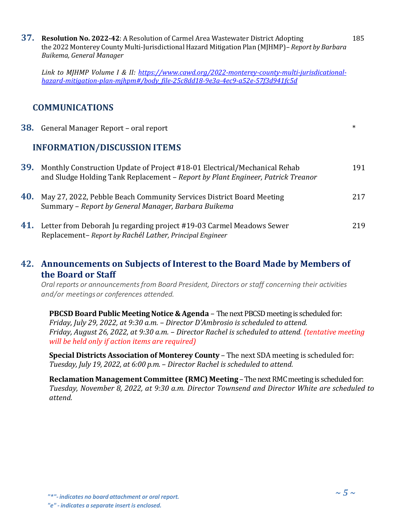**37. Resolution No. 2022-42**: A Resolution of Carmel Area Wastewater District Adopting 185 the 2022 Monterey County Multi-Jurisdictional Hazard Mitigation Plan (MJHMP)*– Report by Barbara Buikema, General Manager*

*Link to MJHMP Volume I & II: [https://www.cawd.org/2022-monterey-county-multi-jurisdicational](https://www.cawd.org/2022-monterey-county-multi-jurisdicational-hazard-mitigation-plan-mjhpm#/body_file-25c8dd18-9e3a-4ec9-a52e-57f3d941fc5d)[hazard-mitigation-plan-mjhpm#/body\\_file-25c8dd18-9e3a-4ec9-a52e-57f3d941fc5d](https://www.cawd.org/2022-monterey-county-multi-jurisdicational-hazard-mitigation-plan-mjhpm#/body_file-25c8dd18-9e3a-4ec9-a52e-57f3d941fc5d)*

#### **COMMUNICATIONS**

|     | 38. General Manager Report - oral report                                                                                                                     | $\ast$ |
|-----|--------------------------------------------------------------------------------------------------------------------------------------------------------------|--------|
|     | <b>INFORMATION/DISCUSSION ITEMS</b>                                                                                                                          |        |
| 39. | Monthly Construction Update of Project #18-01 Electrical/Mechanical Rehab<br>and Sludge Holding Tank Replacement – Report by Plant Engineer, Patrick Treanor | 191    |
| 40. | May 27, 2022, Pebble Beach Community Services District Board Meeting<br>Summary - Report by General Manager, Barbara Buikema                                 | 217    |
| 41. | Letter from Deborah Ju regarding project #19-03 Carmel Meadows Sewer<br>Replacement-Report by Rachél Lather, Principal Engineer                              | 219    |

#### **42. Announcements on Subjects of Interest to the Board Made by Members of the Board or Staff**

*Oral reports or announcementsfrom Board President, Directors or staff concerning their activities and/or meetingsor conferences attended.*

**PBCSD Board Public Meeting Notice & Agenda - The next PBCSD meeting is scheduled for:** *Friday, July 29, 2022, at 9:30 a.m. – Director D'Ambrosio is scheduled to attend. Friday, August 26, 2022, at 9:30 a.m. – Director Rachel is scheduled to attend. (tentative meeting will be held only if action items are required)*

**Special Districts Association of Monterey County** – The next SDA meeting is scheduled for: *Tuesday, July 19, 2022, at 6:00 p.m. – Director Rachel is scheduled to attend.*

**Reclamation Management Committee (RMC) Meeting** –The next RMC meeting is scheduled for: *Tuesday, November 8, 2022, at 9:30 a.m. Director Townsend and Director White are scheduled to attend.*